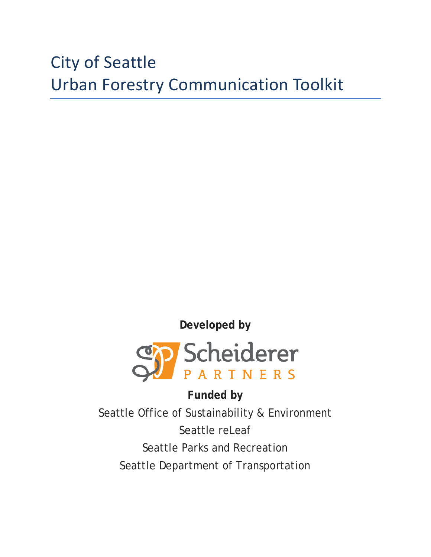# City of Seattle Urban Forestry Communication Toolkit



**Funded by** Seattle Office of Sustainability & Environment Seattle releaf Seattle Parks and Recreation Seattle Department of Transportation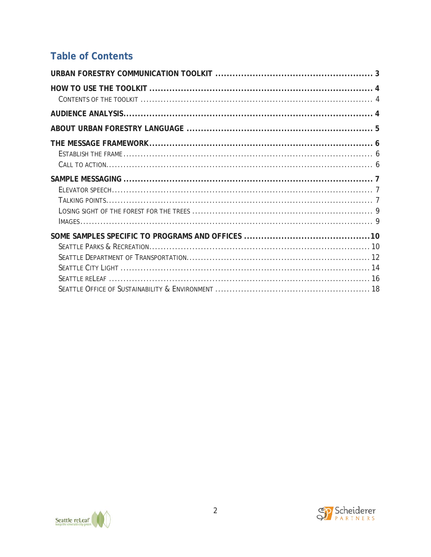# **Table of Contents**



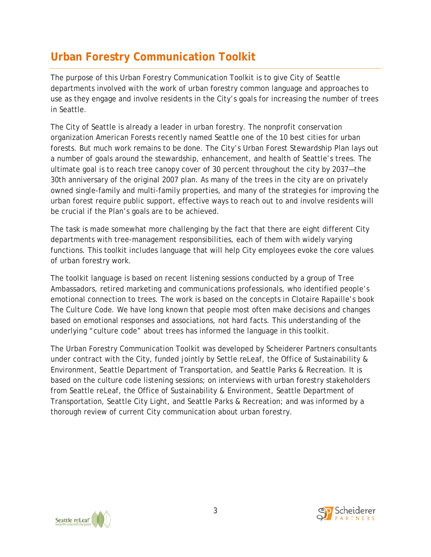# **Urban Forestry Communication Toolkit**

The purpose of this Urban Forestry Communication Toolkit is to give City of Seattle departments involved with the work of urban forestry common language and approaches to use as they engage and involve residents in the City's goals for increasing the number of trees in Seattle.

The City of Seattle is already a leader in urban forestry. The nonprofit conservation organization American Forests recently named Seattle one of the 10 best cities for urban forests. But much work remains to be done. The City's Urban Forest Stewardship Plan lays out a number of goals around the stewardship, enhancement, and health of Seattle's trees. The ultimate goal is to reach tree canopy cover of 30 percent throughout the city by 2037—the 30th anniversary of the original 2007 plan. As many of the trees in the city are on privately owned single-family and multi-family properties, and many of the strategies for improving the urban forest require public support, effective ways to reach out to and involve residents will be crucial if the Plan's goals are to be achieved.

The task is made somewhat more challenging by the fact that there are eight different City departments with tree-management responsibilities, each of them with widely varying functions. This toolkit includes language that will help City employees evoke the core values of urban forestry work.

The toolkit language is based on recent listening sessions conducted by a group of Tree Ambassadors, retired marketing and communications professionals, who identified people's emotional connection to trees. The work is based on the concepts in Clotaire Rapaille's book *The Culture Code*. We have long known that people most often make decisions and changes based on emotional responses and associations, not hard facts. This understanding of the underlying "culture code" about trees has informed the language in this toolkit.

The Urban Forestry Communication Toolkit was developed by Scheiderer Partners consultants under contract with the City, funded jointly by Settle reLeaf, the Office of Sustainability & Environment, Seattle Department of Transportation, and Seattle Parks & Recreation. It is based on the culture code listening sessions; on interviews with urban forestry stakeholders from Seattle reLeaf, the Office of Sustainability & Environment, Seattle Department of Transportation, Seattle City Light, and Seattle Parks & Recreation; and was informed by a thorough review of current City communication about urban forestry.



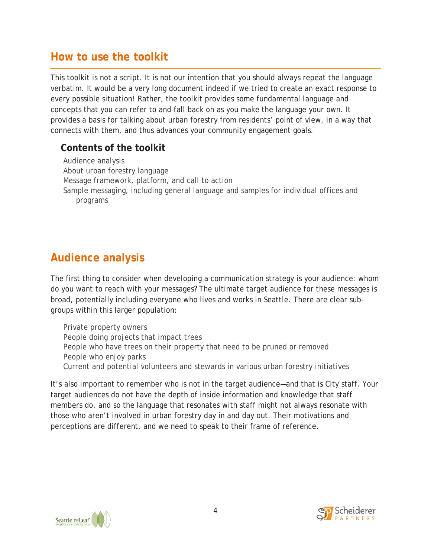# **How to use the toolkit**

This toolkit is not a script. It is not our intention that you should always repeat the language verbatim. It would be a very long document indeed if we tried to create an exact response to every possible situation! Rather, the toolkit provides some fundamental language and concepts that you can refer to and fall back on as you make the language your own. It provides a basis for talking about urban forestry from residents' point of view, in a way that connects with them, and thus advances your community engagement goals.

# **Contents of the toolkit**

Audience analysis About urban forestry language Message framework, platform, and call to action Sample messaging, including general language and samples for individual offices and programs

# **Audience analysis**

The first thing to consider when developing a communication strategy is your audience: whom do you want to reach with your messages? The ultimate target audience for these messages is broad, potentially including everyone who lives and works in Seattle. There are clear subgroups within this larger population:

Private property owners People doing projects that impact trees People who have trees on their property that need to be pruned or removed People who enjoy parks Current and potential volunteers and stewards in various urban forestry initiatives

It's also important to remember who is not in the target audience—and that is City staff. Your target audiences do not have the depth of inside information and knowledge that staff members do, and so the language that resonates with staff might not always resonate with those who aren't involved in urban forestry day in and day out. Their motivations and perceptions are different, and we need to speak to their frame of reference.



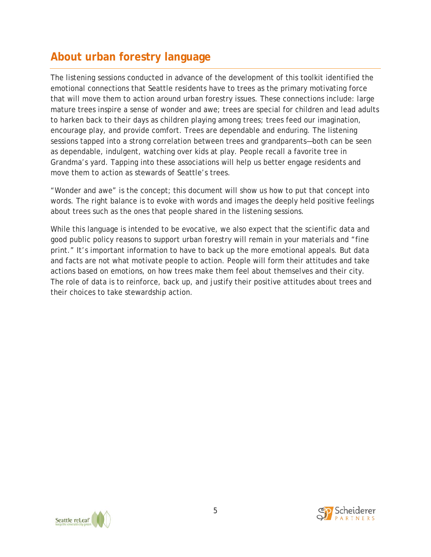# **About urban forestry language**

The listening sessions conducted in advance of the development of this toolkit identified the emotional connections that Seattle residents have to trees as the primary motivating force that will move them to action around urban forestry issues. These connections include: large mature trees inspire a sense of wonder and awe; trees are special for children and lead adults to harken back to their days as children playing among trees; trees feed our imagination, encourage play, and provide comfort. Trees are dependable and enduring. The listening sessions tapped into a strong correlation between trees and grandparents—both can be seen as dependable, indulgent, watching over kids at play. People recall a favorite tree in Grandma's yard. Tapping into these associations will help us better engage residents and move them to action as stewards of Seattle's trees.

"Wonder and awe" is the concept; this document will show us how to put that concept into words. The right balance is to evoke with words and images the deeply held positive feelings about trees such as the ones that people shared in the listening sessions.

While this language is intended to be evocative, we also expect that the scientific data and good public policy reasons to support urban forestry will remain in your materials and "fine print." It's important information to have to back up the more emotional appeals. But data and facts are not what motivate people to action. People will form their attitudes and take actions based on emotions, on how trees make them feel about themselves and their city. The role of data is to reinforce, back up, and justify their positive attitudes about trees and their choices to take stewardship action.



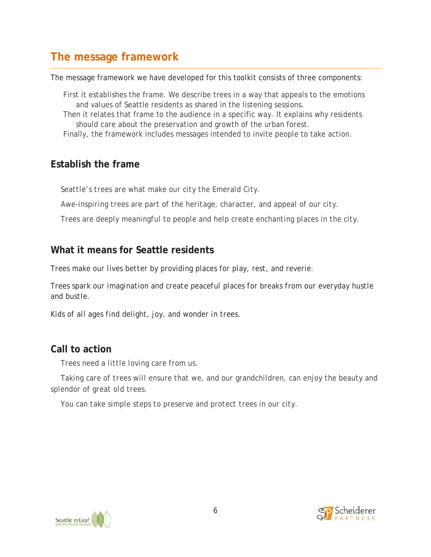# **The message framework**

The message framework we have developed for this toolkit consists of three components:

First it establishes the frame. We describe trees in a way that appeals to the emotions and values of Seattle residents as shared in the listening sessions.

Then it relates that frame to the audience in a specific way. It explains why residents should care about the preservation and growth of the urban forest.

Finally, the framework includes messages intended to invite people to take action.

### **Establish the frame**

*Seattle's trees are what make our city the Emerald City.* 

*Awe-inspiring trees are part of the heritage, character, and appeal of our city.*

*Trees are deeply meaningful to people and help create enchanting places in the city.*

# **What it means for Seattle residents**

*Trees make our lives better by providing places for play, rest, and reverie.* 

*Trees spark our imagination and create peaceful places for breaks from our everyday hustle and bustle.*

*Kids of all ages find delight, joy, and wonder in trees.*

# **Call to action**

*Trees need a little loving care from us.* 

*Taking care of trees will ensure that we, and our grandchildren, can enjoy the beauty and splendor of great old trees.*

*You can take simple steps to preserve and protect trees in our city.* 



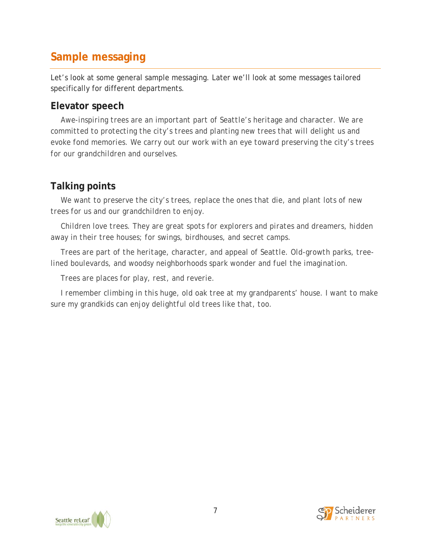# **Sample messaging**

Let's look at some general sample messaging. Later we'll look at some messages tailored specifically for different departments.

### **Elevator speech**

*Awe-inspiring trees are an important part of Seattle's heritage and character. We are committed to protecting the city's trees and planting new trees that will delight us and evoke fond memories. We carry out our work with an eye toward preserving the city's trees for our grandchildren and ourselves.*

# **Talking points**

*We want to preserve the city's trees, replace the ones that die, and plant lots of new trees for us and our grandchildren to enjoy.*

*Children love trees. They are great spots for explorers and pirates and dreamers, hidden away in their tree houses; for swings, birdhouses, and secret camps.*

*Trees are part of the heritage, character, and appeal of Seattle. Old-growth parks, treelined boulevards, and woodsy neighborhoods spark wonder and fuel the imagination.* 

*Trees are places for play, rest, and reverie.*

*I* remember climbing in this huge, old oak tree at my grandparents' house. I want to make *sure my grandkids can enjoy delightful old trees like that, too.*



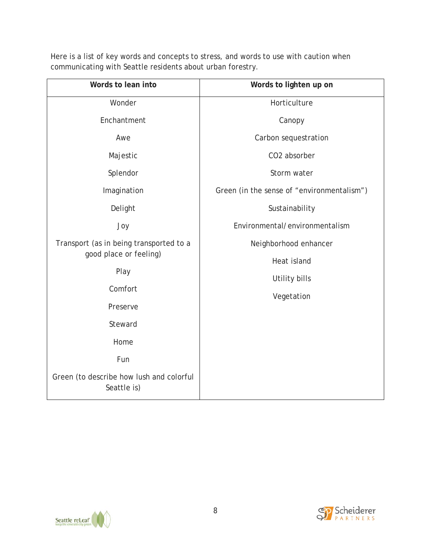| Here is a list of key words and concepts to stress, and words to use with caution when |  |
|----------------------------------------------------------------------------------------|--|
| communicating with Seattle residents about urban forestry.                             |  |

| Words to lean into                                                | Words to lighten up on                     |
|-------------------------------------------------------------------|--------------------------------------------|
| Wonder                                                            | Horticulture                               |
| Enchantment                                                       | Canopy                                     |
| Awe                                                               | Carbon sequestration                       |
| Majestic                                                          | CO2 absorber                               |
| Splendor                                                          | Storm water                                |
| Imagination                                                       | Green (in the sense of "environmentalism") |
| Delight                                                           | Sustainability                             |
| Joy                                                               | Environmental/environmentalism             |
| Transport (as in being transported to a<br>good place or feeling) | Neighborhood enhancer                      |
|                                                                   | Heat island                                |
| Play                                                              | Utility bills<br>Vegetation                |
| Comfort                                                           |                                            |
| Preserve                                                          |                                            |
| Steward                                                           |                                            |
| Home                                                              |                                            |
| Fun                                                               |                                            |
| Green (to describe how lush and colorful<br>Seattle is)           |                                            |

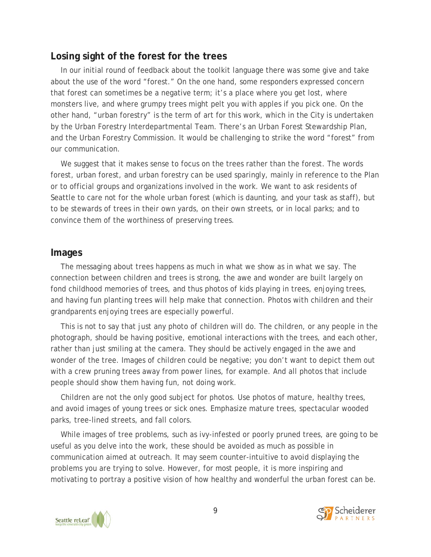#### **Losing sight of the forest for the trees**

In our initial round of feedback about the toolkit language there was some give and take about the use of the word "forest." On the one hand, some responders expressed concern that forest can sometimes be a negative term; it's a place where you get lost, where monsters live, and where grumpy trees might pelt you with apples if you pick one. On the other hand, "urban forestry" is the term of art for this work, which in the City is undertaken by the Urban Forestry Interdepartmental Team. There's an Urban Forest Stewardship Plan, and the Urban Forestry Commission. It would be challenging to strike the word "forest" from our communication.

We suggest that it makes sense to focus on the trees rather than the forest. The words forest, urban forest, and urban forestry can be used sparingly, mainly in reference to the Plan or to official groups and organizations involved in the work. We want to ask residents of Seattle to care not for the whole urban forest (which is daunting, and your task as staff), but to be stewards of trees in their own yards, on their own streets, or in local parks; and to convince them of the worthiness of preserving trees.

#### **Images**

The messaging about trees happens as much in what we show as in what we say. The connection between children and trees is strong, the awe and wonder are built largely on fond childhood memories of trees, and thus photos of kids playing in trees, enjoying trees, and having fun planting trees will help make that connection. Photos with children and their grandparents enjoying trees are especially powerful.

This is not to say that just any photo of children will do. The children, or any people in the photograph, should be having positive, emotional interactions with the trees, and each other, rather than just smiling at the camera. They should be actively engaged in the awe and wonder of the tree. Images of children could be negative; you don't want to depict them out with a crew pruning trees away from power lines, for example. And all photos that include people should show them having fun, not doing work.

Children are not the only good subject for photos. Use photos of mature, healthy trees, and avoid images of young trees or sick ones. Emphasize mature trees, spectacular wooded parks, tree-lined streets, and fall colors.

While images of tree problems, such as ivy-infested or poorly pruned trees, are going to be useful as you delve into the work, these should be avoided as much as possible in communication aimed at outreach. It may seem counter-intuitive to avoid displaying the problems you are trying to solve. However, for most people, it is more inspiring and motivating to portray a positive vision of how healthy and wonderful the urban forest can be.



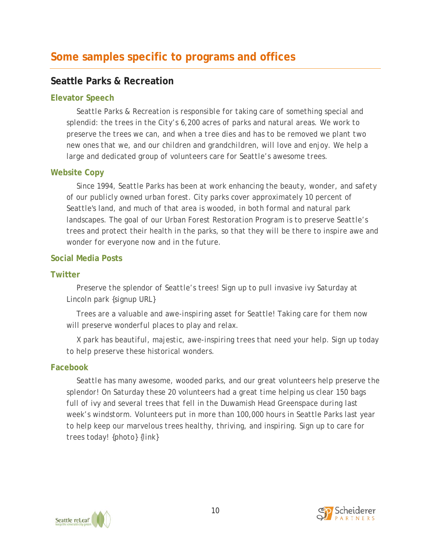# **Some samples specific to programs and offices**

### **Seattle Parks & Recreation**

#### **Elevator Speech**

*Seattle Parks & Recreation is responsible for taking care of something special and splendid: the trees in the City's 6,200 acres of parks and natural areas. We work to preserve the trees we can, and when a tree dies and has to be removed we plant two new ones that we, and our children and grandchildren, will love and enjoy. We help a large and dedicated group of volunteers care for Seattle's awesome trees.*

#### **Website Copy**

*Since 1994, Seattle Parks has been at work enhancing the beauty, wonder, and safety of our publicly owned urban forest. City parks cover approximately 10 percent of Seattle's land, and much of that area is wooded, in both formal and natural park landscapes. The goal of our Urban Forest Restoration Program is to preserve Seattle's trees and protect their health in the parks, so that they will be there to inspire awe and wonder for everyone now and in the future.*

#### **Social Media Posts**

#### **Twitter**

*Preserve the splendor of Seattle's trees! Sign up to pull invasive ivy Saturday at Lincoln park {signup URL}* 

*Trees are a valuable and awe-inspiring asset for Seattle! Taking care for them now will preserve wonderful places to play and relax.*

*X park has beautiful, majestic, awe-inspiring trees that need your help. Sign up today to help preserve these historical wonders.*

#### **Facebook**

*Seattle has many awesome, wooded parks, and our great volunteers help preserve the splendor! On Saturday these 20 volunteers had a great time helping us clear 150 bags full of ivy and several trees that fell in the Duwamish Head Greenspace during last week's windstorm. Volunteers put in more than 100,000 hours in Seattle Parks last year to help keep our marvelous trees healthy, thriving, and inspiring. Sign up to care for trees today! {photo} {link}*



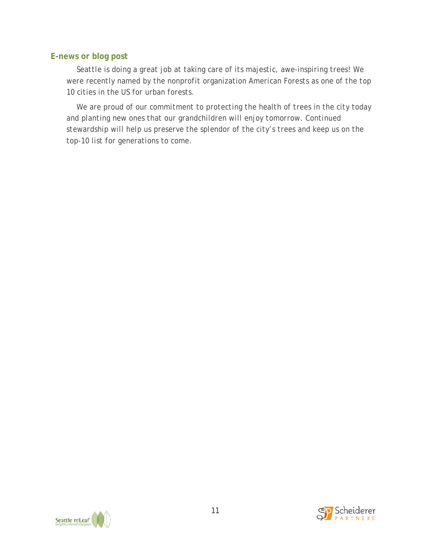#### **E-news or blog post**

*Seattle is doing a great job at taking care of its majestic, awe-inspiring trees! We were recently named by the nonprofit organization American Forests as one of the top 10 cities in the US for urban forests.*

*We are proud of our commitment to protecting the health of trees in the city today and planting new ones that our grandchildren will enjoy tomorrow. Continued stewardship will help us preserve the splendor of the city's trees and keep us on the top-10 list for generations to come.* 



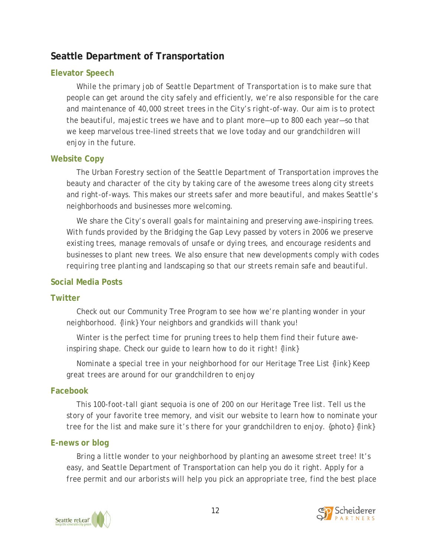### **Seattle Department of Transportation**

#### **Elevator Speech**

*While the primary job of Seattle Department of Transportation is to make sure that people can get around the city safely and efficiently, we're also responsible for the care and maintenance of 40,000 street trees in the City's right-of-way. Our aim is to protect the beautiful, majestic trees we have and to plant more—up to 800 each year—so that we keep marvelous tree-lined streets that we love today and our grandchildren will enjoy in the future.*

#### **Website Copy**

*The Urban Forestry section of the Seattle Department of Transportation improves the beauty and character of the city by taking care of the awesome trees along city streets and right-of-ways. This makes our streets safer and more beautiful, and makes Seattle's neighborhoods and businesses more welcoming.*

*We share the City's overall goals for maintaining and preserving awe-inspiring trees. With funds provided by the Bridging the Gap Levy passed by voters in 2006 we preserve existing trees, manage removals of unsafe or dying trees, and encourage residents and businesses to plant new trees. We also ensure that new developments comply with codes requiring tree planting and landscaping so that our streets remain safe and beautiful.*

#### **Social Media Posts**

#### **Twitter**

*Check out our Community Tree Program to see how we're planting wonder in your neighborhood. {link} Your neighbors and grandkids will thank you!*

*Winter is the perfect time for pruning trees to help them find their future aweinspiring shape. Check our guide to learn how to do it right! {link}*

*Nominate a special tree in your neighborhood for our Heritage Tree List {link} Keep great trees are around for our grandchildren to enjoy*

#### **Facebook**

*This 100-foot-tall giant sequoia is one of 200 on our Heritage Tree list. Tell us the story of your favorite tree memory, and visit our website to learn how to nominate your tree for the list and make sure it's there for your grandchildren to enjoy. {photo} {link}*

#### **E-news or blog**

*Bring a little wonder to your neighborhood by planting an awesome street tree! It's*  easy, and Seattle Department of Transportation can help you do it right. Apply for a *free permit and our arborists will help you pick an appropriate tree, find the best place* 



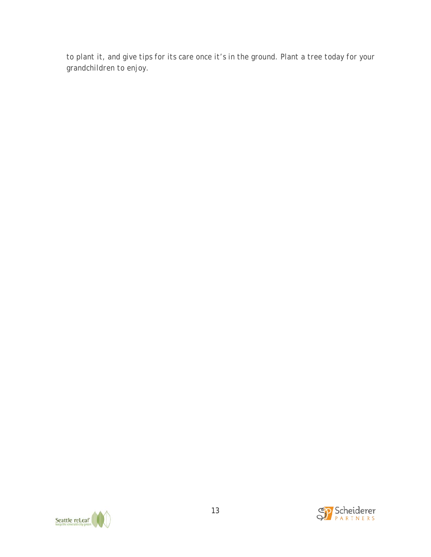*to plant it, and give tips for its care once it's in the ground. Plant a tree today for your grandchildren to enjoy.*



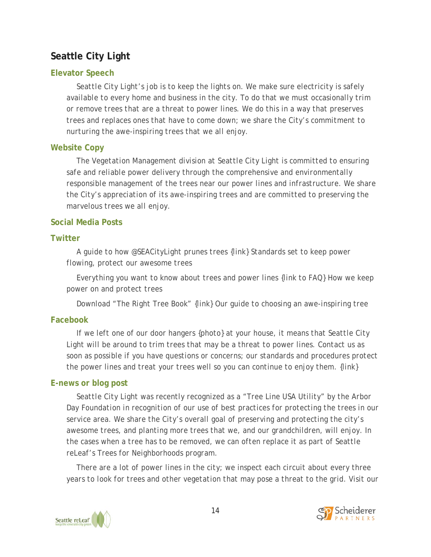# **Seattle City Light**

#### **Elevator Speech**

*Seattle City Light's job is to keep the lights on. We make sure electricity is safely available to every home and business in the city. To do that we must occasionally trim or remove trees that are a threat to power lines. We do this in a way that preserves trees and replaces ones that have to come down; we share the City's commitment to nurturing the awe-inspiring trees that we all enjoy.*

#### **Website Copy**

*The Vegetation Management division at Seattle City Light is committed to ensuring safe and reliable power delivery through the comprehensive and environmentally responsible management of the trees near our power lines and infrastructure. We share the City's appreciation of its awe-inspiring trees and are committed to preserving the marvelous trees we all enjoy.*

#### **Social Media Posts**

#### **Twitter**

*A guide to how @SEACityLight prunes trees {link} Standards set to keep power flowing, protect our awesome trees* 

*Everything you want to know about trees and power lines {link to FAQ} How we keep power on and protect trees*

*Download "The Right Tree Book" {link} Our guide to choosing an awe-inspiring tree*

#### **Facebook**

*If we left one of our door hangers {photo} at your house, it means that Seattle City Light will be around to trim trees that may be a threat to power lines. Contact us as soon as possible if you have questions or concerns; our standards and procedures protect the power lines and treat your trees well so you can continue to enjoy them. {link}*

#### **E-news or blog post**

*Seattle City Light was recently recognized as a "Tree Line USA Utility" by the Arbor Day Foundation in recognition of our use of best practices for protecting the trees in our service area. We share the City's overall goal of preserving and protecting the city's awesome trees, and planting more trees that we, and our grandchildren, will enjoy. In the cases when a tree has to be removed, we can often replace it as part of Seattle reLeaf's Trees for Neighborhoods program.*

*There are a lot of power lines in the city; we inspect each circuit about every three years to look for trees and other vegetation that may pose a threat to the grid. Visit our* 



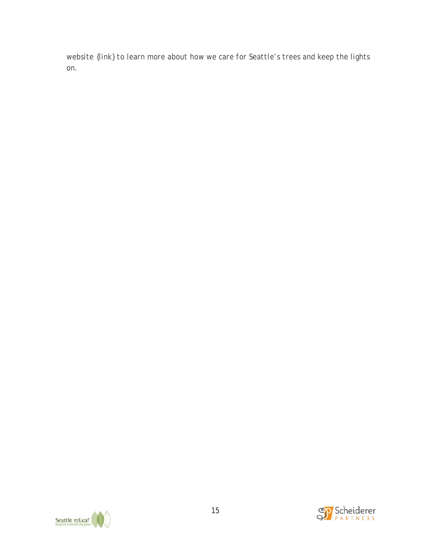*website {link} to learn more about how we care for Seattle's trees and keep the lights on.*



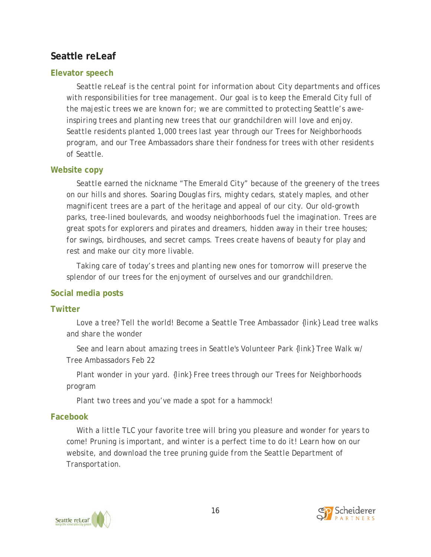### **Seattle reLeaf**

#### **Elevator speech**

*Seattle reLeaf is the central point for information about City departments and offices with responsibilities for tree management. Our goal is to keep the Emerald City full of the majestic trees we are known for; we are committed to protecting Seattle's aweinspiring trees and planting new trees that our grandchildren will love and enjoy. Seattle residents planted 1,000 trees last year through our Trees for Neighborhoods program, and our Tree Ambassadors share their fondness for trees with other residents of Seattle.*

#### **Website copy**

*Seattle earned the nickname "The Emerald City" because of the greenery of the trees on our hills and shores. Soaring Douglas firs, mighty cedars, stately maples, and other magnificent trees are a part of the heritage and appeal of our city. Our old-growth parks, tree-lined boulevards, and woodsy neighborhoods fuel the imagination. Trees are great spots for explorers and pirates and dreamers, hidden away in their tree houses; for swings, birdhouses, and secret camps. Trees create havens of beauty for play and rest and make our city more livable.*

*Taking care of today's trees and planting new ones for tomorrow will preserve the splendor of our trees for the enjoyment of ourselves and our grandchildren.*

#### **Social media posts**

#### **Twitter**

*Love a tree? Tell the world! Become a Seattle Tree Ambassador {link} Lead tree walks and share the wonder* 

*See and learn about amazing trees in Seattle's Volunteer Park {link} Tree Walk w/ Tree Ambassadors Feb 22*

*Plant wonder in your yard. {link} Free trees through our Trees for Neighborhoods program*

*Plant two trees and you've made a spot for a hammock!*

#### **Facebook**

*With a little TLC your favorite tree will bring you pleasure and wonder for years to come! Pruning is important, and winter is a perfect time to do it! Learn how on our website, and download the tree pruning guide from the Seattle Department of Transportation.*



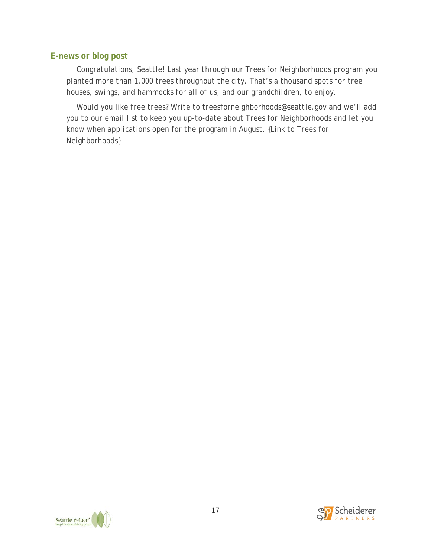#### **E-news or blog post**

*Congratulations, Seattle! Last year through our Trees for Neighborhoods program you planted more than 1,000 trees throughout the city. That's a thousand spots for tree houses, swings, and hammocks for all of us, and our grandchildren, to enjoy.*

*Would you like free trees? Write to treesforneighborhoods@seattle.gov and we'll add you to our email list to keep you up-to-date about Trees for Neighborhoods and let you know when applications open for the program in August. {Link to Trees for Neighborhoods}*

![](_page_16_Picture_3.jpeg)

![](_page_16_Picture_4.jpeg)